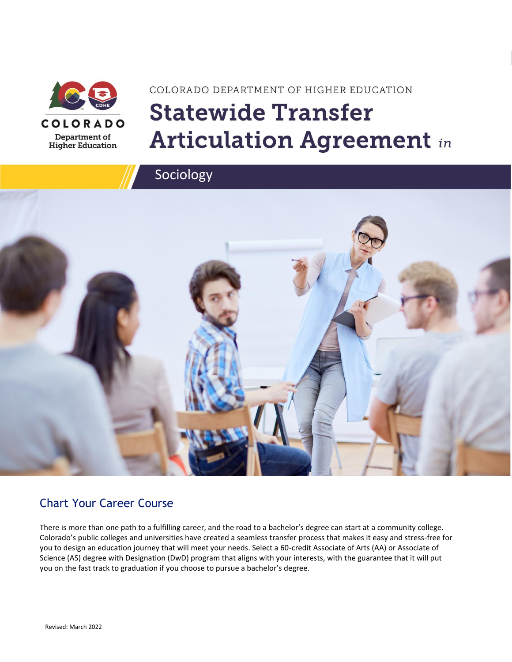

# COLORADO DEPARTMENT OF HIGHER EDUCATION **Statewide Transfer Articulation Agreement in**



### Chart Your Career Course

There is more than one path to a fulfilling career, and the road to a bachelor's degree can start at a community college. Colorado's public colleges and universities have created a seamless transfer process that makes it easy and stress-free for you to design an education journey that will meet your needs. Select a 60-credit Associate of Arts (AA) or Associate of Science (AS) degree with Designation (DwD) program that aligns with your interests, with the guarantee that it will put you on the fast track to graduation if you choose to pursue a bachelor's degree.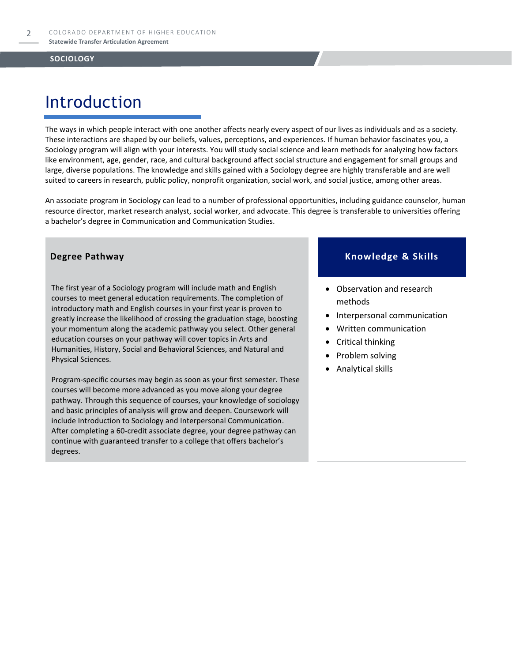## Introduction

The ways in which people interact with one another affects nearly every aspect of our lives as individuals and as a society. These interactions are shaped by our beliefs, values, perceptions, and experiences. If human behavior fascinates you, a Sociology program will align with your interests. You will study social science and learn methods for analyzing how factors like environment, age, gender, race, and cultural background affect social structure and engagement for small groups and large, diverse populations. The knowledge and skills gained with a Sociology degree are highly transferable and are well suited to careers in research, public policy, nonprofit organization, social work, and social justice, among other areas.

An associate program in Sociology can lead to a number of professional opportunities, including guidance counselor, human resource director, market research analyst, social worker, and advocate. This degree is transferable to universities offering a bachelor's degree in Communication and Communication Studies.

The first year of a Sociology program will include math and English courses to meet general education requirements. The completion of introductory math and English courses in your first year is proven to greatly increase the likelihood of crossing the graduation stage, boosting your momentum along the academic pathway you select. Other general education courses on your pathway will cover topics in Arts and Humanities, History, Social and Behavioral Sciences, and Natural and Physical Sciences.

Program-specific courses may begin as soon as your first semester. These courses will become more advanced as you move along your degree pathway. Through this sequence of courses, your knowledge of sociology and basic principles of analysis will grow and deepen. Coursework will include Introduction to Sociology and Interpersonal Communication. After completing a 60-credit associate degree, your degree pathway can continue with guaranteed transfer to a college that offers bachelor's degrees.

#### **Degree Pathway Knowledge & Skills**

- Observation and research methods
- Interpersonal communication
- Written communication
- Critical thinking
- Problem solving
- Analytical skills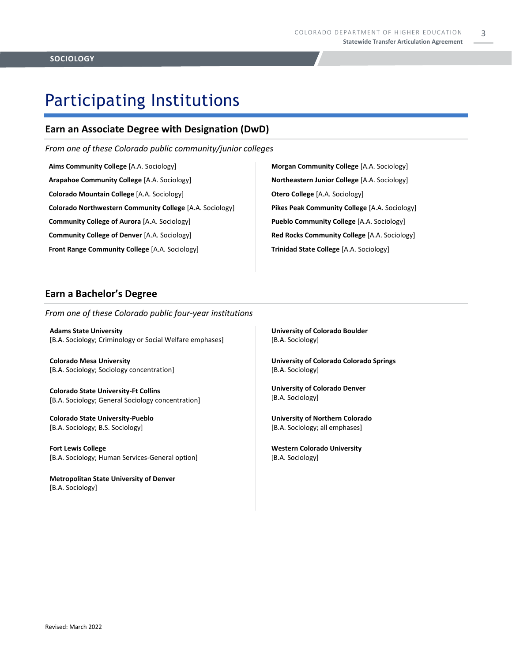3

# Participating Institutions

### **Earn an Associate Degree with Designation (DwD)**

*From one of these Colorado public community/junior colleges*

**Aims Community College** [A.A. Sociology] **Arapahoe Community College** [A.A. Sociology] **Colorado Mountain College** [A.A. Sociology] **Colorado Northwestern Community College** [A.A. Sociology] **Community College of Aurora** [A.A. Sociology] **Community College of Denver** [A.A. Sociology] **Front Range Community College** [A.A. Sociology]

**Morgan Community College** [A.A. Sociology] **Northeastern Junior College** [A.A. Sociology] **Otero College** [A.A. Sociology] **Pikes Peak Community College** [A.A. Sociology] **Pueblo Community College** [A.A. Sociology] **Red Rocks Community College** [A.A. Sociology] **Trinidad State College** [A.A. Sociology]

### **Earn a Bachelor's Degree**

*From one of these Colorado public four-year institutions*

**Adams State University**  [B.A. Sociology; Criminology or Social Welfare emphases]

**Colorado Mesa University**  [B.A. Sociology; Sociology concentration]

**Colorado State University-Ft Collins**  [B.A. Sociology; General Sociology concentration]

**Colorado State University-Pueblo**  [B.A. Sociology; B.S. Sociology]

**Fort Lewis College**  [B.A. Sociology; Human Services-General option]

**Metropolitan State University of Denver**  [B.A. Sociology]

**University of Colorado Boulder**  [B.A. Sociology]

**University of Colorado Colorado Springs** [B.A. Sociology]

**University of Colorado Denver** [B.A. Sociology]

**University of Northern Colorado** [B.A. Sociology; all emphases]

**Western Colorado University** [B.A. Sociology]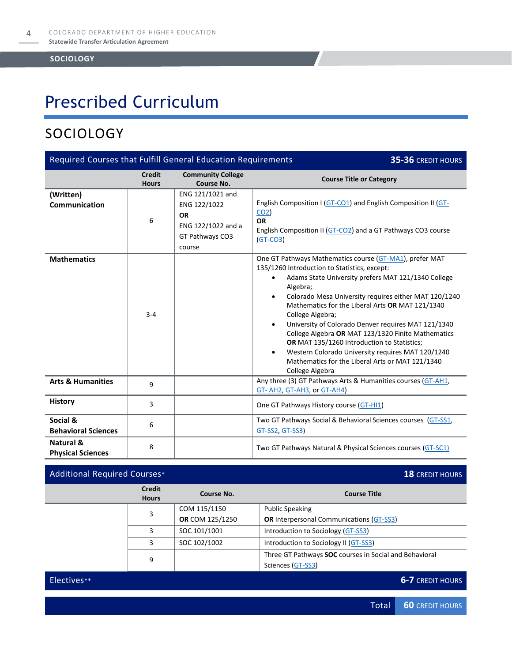## Prescribed Curriculum

### SOCIOLOGY

| Required Courses that Fulfill General Education Requirements<br>35-36 CREDIT HOURS |                               |                                                                                                  |                                                                                                                                                                                                                                                                                                                                                                                                                                                                                                                                                                                                                                                         |  |
|------------------------------------------------------------------------------------|-------------------------------|--------------------------------------------------------------------------------------------------|---------------------------------------------------------------------------------------------------------------------------------------------------------------------------------------------------------------------------------------------------------------------------------------------------------------------------------------------------------------------------------------------------------------------------------------------------------------------------------------------------------------------------------------------------------------------------------------------------------------------------------------------------------|--|
|                                                                                    | <b>Credit</b><br><b>Hours</b> | <b>Community College</b><br>Course No.                                                           | <b>Course Title or Category</b>                                                                                                                                                                                                                                                                                                                                                                                                                                                                                                                                                                                                                         |  |
| (Written)<br><b>Communication</b>                                                  | 6                             | ENG 121/1021 and<br>ENG 122/1022<br><b>OR</b><br>ENG 122/1022 and a<br>GT Pathways CO3<br>course | English Composition I (GT-CO1) and English Composition II (GT-<br>CO <sub>2</sub><br><b>OR</b><br>English Composition II (GT-CO2) and a GT Pathways CO3 course<br>$(GT-CO3)$                                                                                                                                                                                                                                                                                                                                                                                                                                                                            |  |
| <b>Mathematics</b>                                                                 | $3 - 4$                       |                                                                                                  | One GT Pathways Mathematics course (GT-MA1), prefer MAT<br>135/1260 Introduction to Statistics, except:<br>Adams State University prefers MAT 121/1340 College<br>$\bullet$<br>Algebra;<br>Colorado Mesa University requires either MAT 120/1240<br>$\bullet$<br>Mathematics for the Liberal Arts OR MAT 121/1340<br>College Algebra;<br>University of Colorado Denver requires MAT 121/1340<br>$\bullet$<br>College Algebra OR MAT 123/1320 Finite Mathematics<br>OR MAT 135/1260 Introduction to Statistics;<br>Western Colorado University requires MAT 120/1240<br>$\bullet$<br>Mathematics for the Liberal Arts or MAT 121/1340<br>College Algebra |  |
| <b>Arts &amp; Humanities</b>                                                       | 9                             |                                                                                                  | Any three (3) GT Pathways Arts & Humanities courses (GT-AH1,<br>GT- AH2, GT-AH3, or GT-AH4)                                                                                                                                                                                                                                                                                                                                                                                                                                                                                                                                                             |  |
| <b>History</b>                                                                     | 3                             |                                                                                                  | One GT Pathways History course (GT-HI1)                                                                                                                                                                                                                                                                                                                                                                                                                                                                                                                                                                                                                 |  |
| Social &<br><b>Behavioral Sciences</b>                                             | 6                             |                                                                                                  | Two GT Pathways Social & Behavioral Sciences courses (GT-SS1,<br>GT-SS2, GT-SS3)                                                                                                                                                                                                                                                                                                                                                                                                                                                                                                                                                                        |  |
| Natural &<br><b>Physical Sciences</b>                                              | 8                             |                                                                                                  | Two GT Pathways Natural & Physical Sciences courses (GT-SC1)                                                                                                                                                                                                                                                                                                                                                                                                                                                                                                                                                                                            |  |

#### Additional Required Courses\* **18** CREDIT HOURS **Credit Hours Course No. Course Title** 3 COM 115/1150 **OR** COM 125/1250 Public Speaking **OR** Interpersonal Communications [\(GT-SS3\)](https://highered.colorado.gov/Academics/Transfers/gtPathways/Curriculum/Courses.aspx?cat=GT-SS3) 3 | SOC 101/1001 | Introduction to Sociology [\(GT-SS3\)](https://highered.colorado.gov/Academics/Transfers/gtPathways/Curriculum/Courses.aspx?cat=GT-SS3&cat=GT-SS3)  $\vert$  SOC 102/1002  $\vert$  Introduction to Sociology II [\(GT-SS3\)](https://highered.colorado.gov/Academics/Transfers/gtPathways/Curriculum/Courses.aspx?cat=GT-SS3&cat=GT-SS3) 9 Three GT Pathways **SOC** courses in Social and Behavioral Sciences [\(GT-SS3\)](https://highered.colorado.gov/Academics/Transfers/gtPathways/Curriculum/Courses.aspx?cat=GT-SS3&cat=GT-SS3) Electives\*\* **6-7** CREDIT HOURS

Total **60** CREDIT HOURS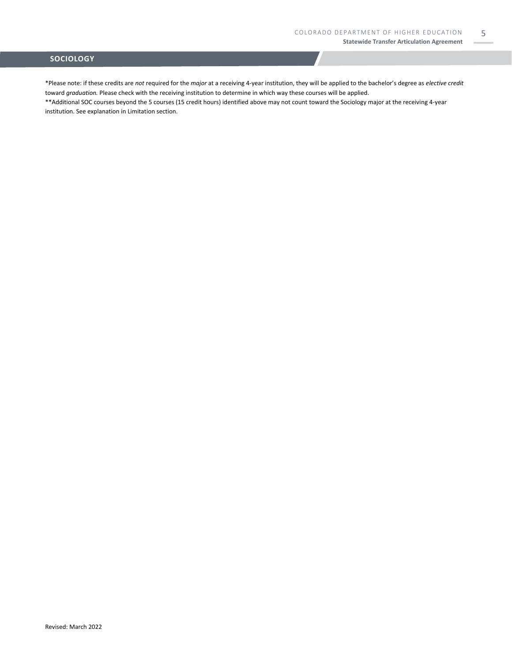5

#### **SOCIOLOGY**

\*Please note: if these credits are *not* required for the *major* at a receiving 4-year institution, they will be applied to the bachelor's degree as *elective credit* toward *graduation.* Please check with the receiving institution to determine in which way these courses will be applied.

\*\*Additional SOC courses beyond the 5 courses (15 credit hours) identified above may not count toward the Sociology major at the receiving 4-year institution. See explanation in Limitation section.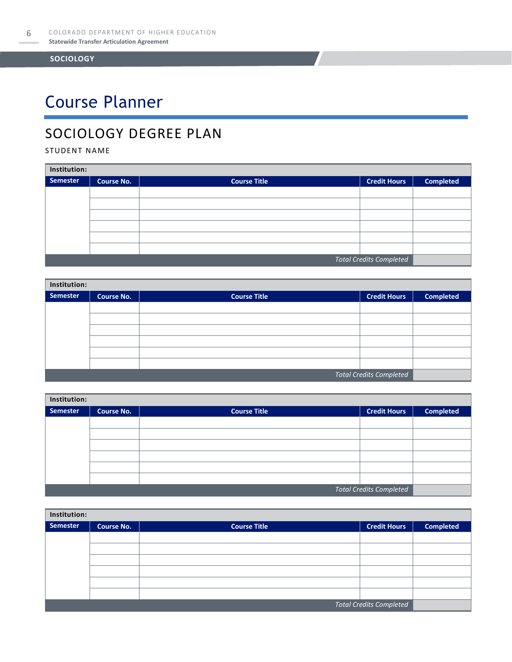# Course Planner

### SOCIOLOGY DEGREE PLAN

STUDENT NAME

| Institution:                   |                   |                     |                     |                  |  |
|--------------------------------|-------------------|---------------------|---------------------|------------------|--|
| <b>Semester</b>                | <b>Course No.</b> | <b>Course Title</b> | <b>Credit Hours</b> | <b>Completed</b> |  |
|                                |                   |                     |                     |                  |  |
|                                |                   |                     |                     |                  |  |
|                                |                   |                     |                     |                  |  |
|                                |                   |                     |                     |                  |  |
|                                |                   |                     |                     |                  |  |
|                                |                   |                     |                     |                  |  |
| <b>Total Credits Completed</b> |                   |                     |                     |                  |  |

| Institution:                   |                   |                     |                     |                  |  |
|--------------------------------|-------------------|---------------------|---------------------|------------------|--|
| Semester                       | <b>Course No.</b> | <b>Course Title</b> | <b>Credit Hours</b> | <b>Completed</b> |  |
|                                |                   |                     |                     |                  |  |
|                                |                   |                     |                     |                  |  |
|                                |                   |                     |                     |                  |  |
|                                |                   |                     |                     |                  |  |
|                                |                   |                     |                     |                  |  |
|                                |                   |                     |                     |                  |  |
| <b>Total Credits Completed</b> |                   |                     |                     |                  |  |

| Institution: |                   |                     |                                |                  |  |
|--------------|-------------------|---------------------|--------------------------------|------------------|--|
| Semester     | <b>Course No.</b> | <b>Course Title</b> | <b>Credit Hours</b>            | <b>Completed</b> |  |
|              |                   |                     |                                |                  |  |
|              |                   |                     |                                |                  |  |
|              |                   |                     |                                |                  |  |
|              |                   |                     |                                |                  |  |
|              |                   |                     |                                |                  |  |
|              |                   |                     |                                |                  |  |
|              |                   |                     | <b>Total Credits Completed</b> |                  |  |

| Institution:                   |                   |                     |                     |                  |  |
|--------------------------------|-------------------|---------------------|---------------------|------------------|--|
| <b>Semester</b>                | <b>Course No.</b> | <b>Course Title</b> | <b>Credit Hours</b> | <b>Completed</b> |  |
|                                |                   |                     |                     |                  |  |
|                                |                   |                     |                     |                  |  |
|                                |                   |                     |                     |                  |  |
|                                |                   |                     |                     |                  |  |
|                                |                   |                     |                     |                  |  |
|                                |                   |                     |                     |                  |  |
| <b>Total Credits Completed</b> |                   |                     |                     |                  |  |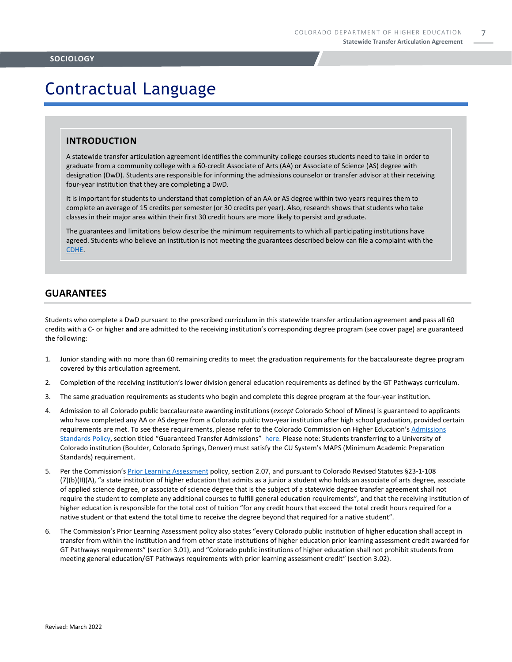### Contractual Language

#### **INTRODUCTION**

A statewide transfer articulation agreement identifies the community college courses students need to take in order to graduate from a community college with a 60-credit Associate of Arts (AA) or Associate of Science (AS) degree with designation (DwD). Students are responsible for informing the admissions counselor or transfer advisor at their receiving four-year institution that they are completing a DwD.

It is important for students to understand that completion of an AA or AS degree within two years requires them to complete an average of 15 credits per semester (or 30 credits per year). Also, research shows that students who take classes in their major area within their first 30 credit hours are more likely to persist and graduate.

The guarantees and limitations below describe the minimum requirements to which all participating institutions have agreed. Students who believe an institution is not meeting the guarantees described below can file a complaint with the [CDHE.](https://highered.colorado.gov/filing-student-complaint) 

#### **GUARANTEES**

Students who complete a DwD pursuant to the prescribed curriculum in this statewide transfer articulation agreement **and** pass all 60 credits with a C- or higher **and** are admitted to the receiving institution's corresponding degree program (see cover page) are guaranteed the following:

- 1. Junior standing with no more than 60 remaining credits to meet the graduation requirements for the baccalaureate degree program covered by this articulation agreement.
- 2. Completion of the receiving institution's lower division general education requirements as defined by the GT Pathways curriculum.
- 3. The same graduation requirements as students who begin and complete this degree program at the four-year institution.
- 4. Admission to all Colorado public baccalaureate awarding institutions (*except* Colorado School of Mines) is guaranteed to applicants who have completed any AA or AS degree from a Colorado public two-year institution after high school graduation, provided certain requirements are met. To see these requirements, please refer to the Colorado Commission on Higher Education's [Admissions](https://highered.colorado.gov/sites/highered/files/2020-03/i-partf_0.pdf)  [Standards Policy](https://highered.colorado.gov/sites/highered/files/2020-03/i-partf_0.pdf), section titled "Guaranteed Transfer Admissions" [here.](https://highered.colorado.gov/educators/policy-funding/cche-policies-procedures) Please note: Students transferring to a University of Colorado institution (Boulder, Colorado Springs, Denver) must satisfy the CU System's MAPS (Minimum Academic Preparation Standards) requirement.
- 5. Per the Commission's [Prior Learning Assessment](https://highered.colorado.gov/sites/highered/files/2020-03/i-partx.pdf) policy, section 2.07, and pursuant to Colorado Revised Statutes §23-1-108 (7)(b)(II)(A), "a state institution of higher education that admits as a junior a student who holds an associate of arts degree, associate of applied science degree, or associate of science degree that is the subject of a statewide degree transfer agreement shall not require the student to complete any additional courses to fulfill general education requirements", and that the receiving institution of higher education is responsible for the total cost of tuition "for any credit hours that exceed the total credit hours required for a native student or that extend the total time to receive the degree beyond that required for a native student".
- 6. The Commission's Prior Learning Assessment policy also states "every Colorado public institution of higher education shall accept in transfer from within the institution and from other state institutions of higher education prior learning assessment credit awarded for GT Pathways requirements" (section 3.01), and "Colorado public institutions of higher education shall not prohibit students from meeting general education/GT Pathways requirements with prior learning assessment credit" (section 3.02).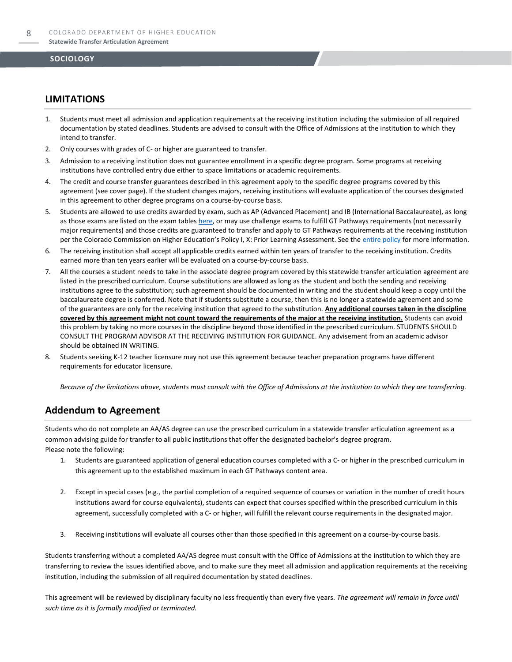#### **LIMITATIONS**

- 1. Students must meet all admission and application requirements at the receiving institution including the submission of all required documentation by stated deadlines. Students are advised to consult with the Office of Admissions at the institution to which they intend to transfer.
- 2. Only courses with grades of C- or higher are guaranteed to transfer.
- 3. Admission to a receiving institution does not guarantee enrollment in a specific degree program. Some programs at receiving institutions have controlled entry due either to space limitations or academic requirements.
- 4. The credit and course transfer guarantees described in this agreement apply to the specific degree programs covered by this agreement (see cover page). If the student changes majors, receiving institutions will evaluate application of the courses designated in this agreement to other degree programs on a course-by-course basis.
- 5. Students are allowed to use credits awarded by exam, such as AP (Advanced Placement) and IB (International Baccalaureate), as long as those exams are listed on the exam table[s here,](https://highered.colorado.gov/get-credit-for-what-you-already-know) or may use challenge exams to fulfill GT Pathways requirements (not necessarily major requirements) and those credits are guaranteed to transfer and apply to GT Pathways requirements at the receiving institution per the Colorado Commission on Higher Education's Policy I, X: Prior Learning Assessment. See the [entire policy](https://highered.colorado.gov/sites/highered/files/2020-03/i-partx.pdf) for more information.
- 6. The receiving institution shall accept all applicable credits earned within ten years of transfer to the receiving institution. Credits earned more than ten years earlier will be evaluated on a course-by-course basis.
- 7. All the courses a student needs to take in the associate degree program covered by this statewide transfer articulation agreement are listed in the prescribed curriculum. Course substitutions are allowed as long as the student and both the sending and receiving institutions agree to the substitution; such agreement should be documented in writing and the student should keep a copy until the baccalaureate degree is conferred. Note that if students substitute a course, then this is no longer a statewide agreement and some of the guarantees are only for the receiving institution that agreed to the substitution. **Any additional courses taken in the discipline covered by this agreement might not count toward the requirements of the major at the receiving institution.** Students can avoid this problem by taking no more courses in the discipline beyond those identified in the prescribed curriculum. STUDENTS SHOULD CONSULT THE PROGRAM ADVISOR AT THE RECEIVING INSTITUTION FOR GUIDANCE. Any advisement from an academic advisor should be obtained IN WRITING.
- Students seeking K-12 teacher licensure may not use this agreement because teacher preparation programs have different requirements for educator licensure.

*Because of the limitations above, students must consult with the Office of Admissions at the institution to which they are transferring.*

#### **Addendum to Agreement**

Students who do not complete an AA/AS degree can use the prescribed curriculum in a statewide transfer articulation agreement as a common advising guide for transfer to all public institutions that offer the designated bachelor's degree program. Please note the following:

- 1. Students are guaranteed application of general education courses completed with a C- or higher in the prescribed curriculum in this agreement up to the established maximum in each GT Pathways content area.
- 2. Except in special cases (e.g., the partial completion of a required sequence of courses or variation in the number of credit hours institutions award for course equivalents), students can expect that courses specified within the prescribed curriculum in this agreement, successfully completed with a C- or higher, will fulfill the relevant course requirements in the designated major.
- 3. Receiving institutions will evaluate all courses other than those specified in this agreement on a course-by-course basis.

Students transferring without a completed AA/AS degree must consult with the Office of Admissions at the institution to which they are transferring to review the issues identified above, and to make sure they meet all admission and application requirements at the receiving institution, including the submission of all required documentation by stated deadlines.

This agreement will be reviewed by disciplinary faculty no less frequently than every five years. *The agreement will remain in force until such time as it is formally modified or terminated.*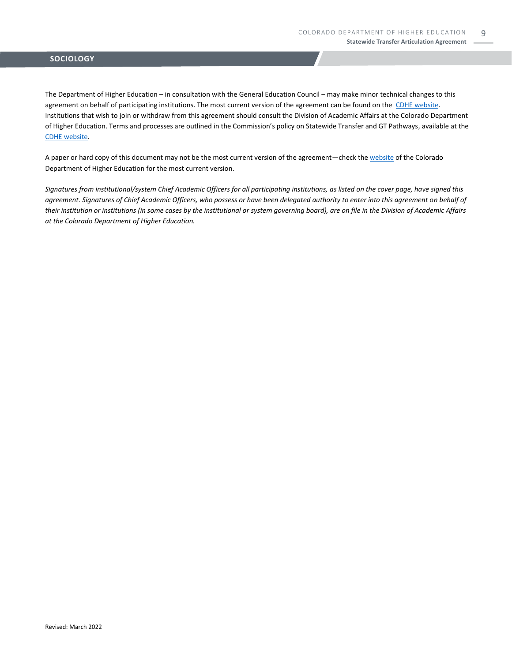The Department of Higher Education – in consultation with the General Education Council – may make minor technical changes to this agreement on behalf of participating institutions. The most current version of the agreement can be found on the [CDHE website.](https://highered.colorado.gov/transfer-degrees) Institutions that wish to join or withdraw from this agreement should consult the Division of Academic Affairs at the Colorado Department of Higher Education. Terms and processes are outlined in the Commission's policy on Statewide Transfer and GT Pathways, available at the [CDHE website.](https://highered.colorado.gov/educators/policy-funding/general-education-ge-council/gtpathways/transfer-agreements)

A paper or hard copy of this document may not be the most current version of the agreement—check th[e website](https://highered.colorado.gov/transfer-degrees) of the Colorado Department of Higher Education for the most current version.

*Signatures from institutional/system Chief Academic Officers for all participating institutions, as listed on the cover page, have signed this agreement. Signatures of Chief Academic Officers, who possess or have been delegated authority to enter into this agreement on behalf of their institution or institutions (in some cases by the institutional or system governing board), are on file in the Division of Academic Affairs at the Colorado Department of Higher Education.*